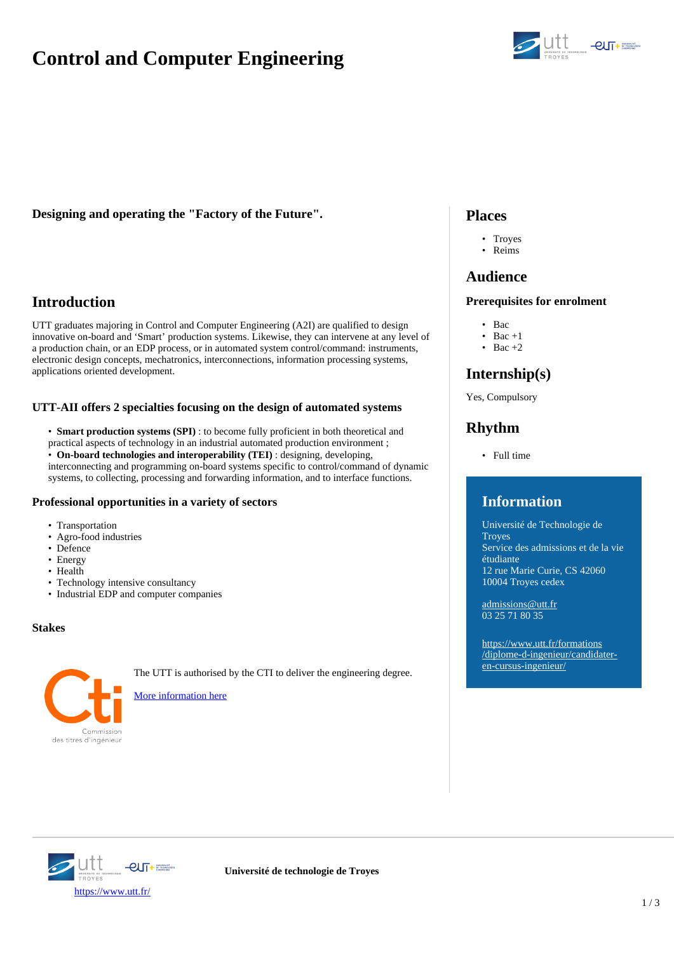# **Control and Computer Engineering**



**Designing and operating the "Factory of the Future".**

# **Introduction**

UTT graduates majoring in Control and Computer Engineering (A2I) are qualified to design innovative on-board and 'Smart' production systems. Likewise, they can intervene at any level of a production chain, or an EDP process, or in automated system control/command: instruments, electronic design concepts, mechatronics, interconnections, information processing systems, applications oriented development.

#### **UTT-AII offers 2 specialties focusing on the design of automated systems**

• **Smart production systems (SPI)** : to become fully proficient in both theoretical and practical aspects of technology in an industrial automated production environment ; • **On-board technologies and interoperability (TEI)** : designing, developing, interconnecting and programming on-board systems specific to control/command of dynamic systems, to collecting, processing and forwarding information, and to interface functions.

#### **Professional opportunities in a variety of sectors**

- Transportation
- Agro-food industries
- Defence
- Energy
- Health
- Technology intensive consultancy
- Industrial EDP and computer companies

#### **Stakes**



The UTT is authorised by the CTI to deliver the engineering degree.

[More information here](https://www.cti-commission.fr/en/)

### **Places**

- Troyes
- Reims

### **Audience**

#### **Prerequisites for enrolment**

- Bac
- Bac  $+1$
- Bac  $+2$

# **Internship(s)**

Yes, Compulsory

# **Rhythm**

• Full time

## **Information**

Université de Technologie de **Troyes** Service des admissions et de la vie étudiante 12 rue Marie Curie, CS 42060 10004 Troyes cedex

[admissions@utt.fr](mailto:admissions%2540utt%252Efr?Subject=&body=) 03 25 71 80 35

[https://www.utt.fr/formations](https://www.utt.fr/formations/diplome-d-ingenieur/candidater-en-cursus-ingenieur/) [/diplome-d-ingenieur/candidater](https://www.utt.fr/formations/diplome-d-ingenieur/candidater-en-cursus-ingenieur/)[en-cursus-ingenieur/](https://www.utt.fr/formations/diplome-d-ingenieur/candidater-en-cursus-ingenieur/)

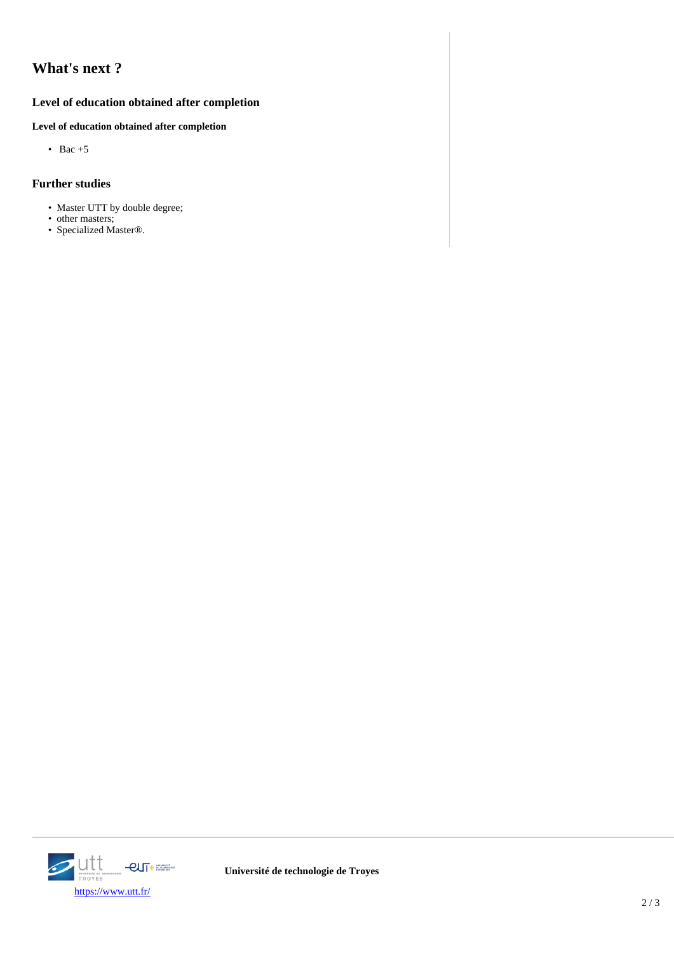# **What's next ?**

### **Level of education obtained after completion**

#### **Level of education obtained after completion**

• Bac  $+5$ 

### **Further studies**

- Master UTT by double degree;
- other masters;
- Specialized Master®.